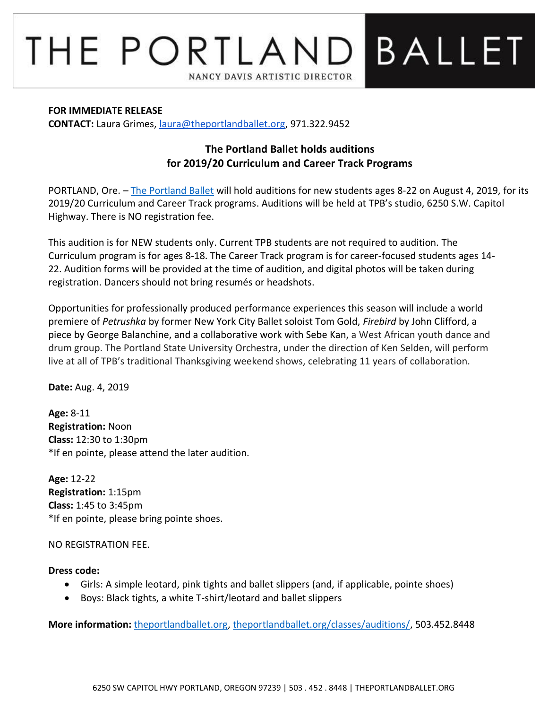# BALLET THE PORTLAND NANCY DAVIS ARTISTIC DIRECTOR

#### **FOR IMMEDIATE RELEASE**

**CONTACT:** Laura Grimes, [laura@theportlandballet.org,](mailto:laura@theportlandballet.org) 971.322.9452

## **The Portland Ballet holds auditions for 2019/20 Curriculum and Career Track Programs**

PORTLAND, Ore. – [The Portland Ballet](http://theportlandballet.org/) will hold auditions for new students ages 8-22 on August 4, 2019, for its 2019/20 Curriculum and Career Track programs. Auditions will be held at TPB's studio, 6250 S.W. Capitol Highway. There is NO registration fee.

This audition is for NEW students only. Current TPB students are not required to audition. The Curriculum program is for ages 8-18. The Career Track program is for career-focused students ages 14- 22. Audition forms will be provided at the time of audition, and digital photos will be taken during registration. Dancers should not bring resumés or headshots.

Opportunities for professionally produced performance experiences this season will include a world premiere of *Petrushka* by former New York City Ballet soloist Tom Gold, *Firebird* by John Clifford, a piece by George Balanchine, and a collaborative work with Sebe Kan, a West African youth dance and drum group. The Portland State University Orchestra, under the direction of Ken Selden, will perform live at all of TPB's traditional Thanksgiving weekend shows, celebrating 11 years of collaboration.

**Date:** Aug. 4, 2019

**Age:** 8-11 **Registration:** Noon **Class:** 12:30 to 1:30pm \*If en pointe, please attend the later audition.

**Age:** 12-22 **Registration:** 1:15pm **Class:** 1:45 to 3:45pm \*If en pointe, please bring pointe shoes.

## NO REGISTRATION FEE.

## **Dress code:**

- Girls: A simple leotard, pink tights and ballet slippers (and, if applicable, pointe shoes)
- Boys: Black tights, a white T-shirt/leotard and ballet slippers

**More information:** [theportlandballet.org,](http://theportlandballet.org/) [theportlandballet.org/classes/auditions/,](http://theportlandballet.org/classes/auditions/) 503.452.8448